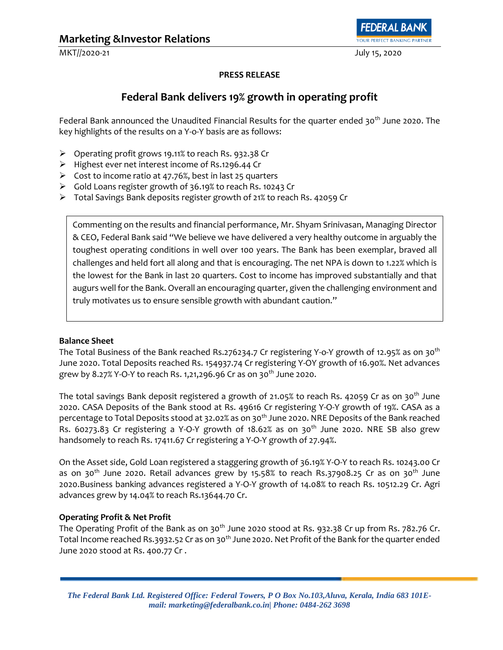MKT//2020-21 July 15, 2020

OUR PERFECT BANKING PARTNER

### **PRESS RELEASE**

# **Federal Bank delivers 19% growth in operating profit**

Federal Bank announced the Unaudited Financial Results for the quarter ended 30<sup>th</sup> June 2020. The key highlights of the results on a Y-o-Y basis are as follows:

- ➢ Operating profit grows 19.11% to reach Rs. 932.38 Cr
- ➢ Highest ever net interest income of Rs.1296.44 Cr
- $\triangleright$  Cost to income ratio at 47.76%, best in last 25 quarters
- ➢ Gold Loans register growth of 36.19% to reach Rs. 10243 Cr
- ➢ Total Savings Bank deposits register growth of 21% to reach Rs. 42059 Cr

Commenting on the results and financial performance, Mr. Shyam Srinivasan, Managing Director & CEO, Federal Bank said "We believe we have delivered a very healthy outcome in arguably the toughest operating conditions in well over 100 years. The Bank has been exemplar, braved all challenges and held fort all along and that is encouraging. The net NPA is down to 1.22% which is the lowest for the Bank in last 20 quarters. Cost to income has improved substantially and that augurs well for the Bank. Overall an encouraging quarter, given the challenging environment and truly motivates us to ensure sensible growth with abundant caution."

#### **Balance Sheet**

The Total Business of the Bank reached Rs.276234.7 Cr registering Y-o-Y growth of 12.95% as on 30<sup>th</sup> June 2020. Total Deposits reached Rs. 154937.74 Cr registering Y-OY growth of 16.90%. Net advances grew by 8.27% Y-O-Y to reach Rs. 1,21,296.96 Cr as on 30<sup>th</sup> June 2020.

The total savings Bank deposit registered a growth of 21.05% to reach Rs. 42059 Cr as on 30<sup>th</sup> June 2020. CASA Deposits of the Bank stood at Rs. 49616 Cr registering Y-O-Y growth of 19%. CASA as a percentage to Total Deposits stood at 32.02% as on 30<sup>th</sup> June 2020. NRE Deposits of the Bank reached Rs. 60273.83 Cr registering a Y-O-Y growth of  $18.62\%$  as on 30<sup>th</sup> June 2020. NRE SB also grew handsomely to reach Rs. 17411.67 Cr registering a Y-O-Y growth of 27.94%.

On the Asset side, Gold Loan registered a staggering growth of 36.19% Y-O-Y to reach Rs. 10243.00 Cr as on 30<sup>th</sup> June 2020. Retail advances grew by 15.58% to reach Rs.37908.25 Cr as on 30<sup>th</sup> June 2020.Business banking advances registered a Y-O-Y growth of 14.08% to reach Rs. 10512.29 Cr. Agri advances grew by 14.04% to reach Rs.13644.70 Cr.

#### **Operating Profit & Net Profit**

The Operating Profit of the Bank as on 30<sup>th</sup> June 2020 stood at Rs. 932.38 Cr up from Rs. 782.76 Cr. Total Income reached Rs.3932.52 Cr as on 30<sup>th</sup> June 2020. Net Profit of the Bank for the quarter ended June 2020 stood at Rs. 400.77 Cr .

*The Federal Bank Ltd. Registered Office: Federal Towers, P O Box No.103,Aluva, Kerala, India 683 101Email: marketing@federalbank.co.in| Phone: 0484-262 3698*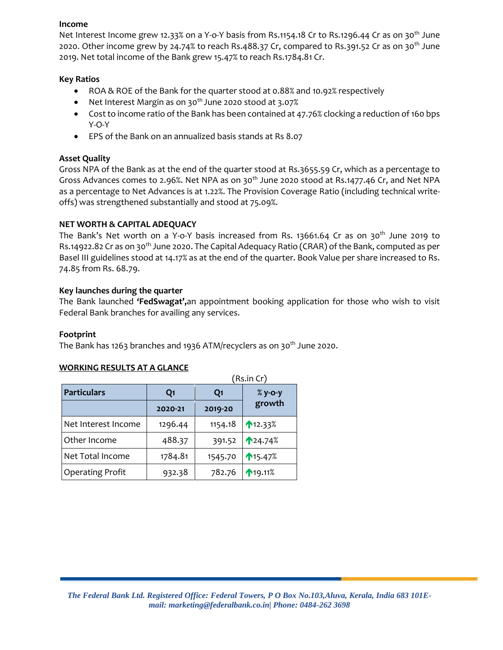#### **Income**

Net Interest Income grew 12.33% on a Y-o-Y basis from Rs.1154.18 Cr to Rs.1296.44 Cr as on 30<sup>th</sup> June 2020. Other income grew by 24.74% to reach Rs.488.37 Cr, compared to Rs.391.52 Cr as on 30th June 2019. Net total income of the Bank grew 15.47% to reach Rs.1784.81 Cr.

### **Key Ratios**

- ROA & ROE of the Bank for the quarter stood at 0.88% and 10.92% respectively
- Net Interest Margin as on 30<sup>th</sup> June 2020 stood at 3.07%
- Cost to income ratio of the Bank has been contained at 47.76% clocking a reduction of 160 bps Y-O-Y
- EPS of the Bank on an annualized basis stands at Rs 8.07

# **Asset Quality**

Gross NPA of the Bank as at the end of the quarter stood at Rs.3655.59 Cr, which as a percentage to Gross Advances comes to 2.96%. Net NPA as on 30<sup>th</sup> June 2020 stood at Rs.1477.46 Cr, and Net NPA as a percentage to Net Advances is at 1.22%. The Provision Coverage Ratio (including technical writeoffs) was strengthened substantially and stood at 75.09%.

# **NET WORTH & CAPITAL ADEQUACY**

The Bank's Net worth on a Y-o-Y basis increased from Rs. 13661.64 Cr as on 30<sup>th</sup> June 2019 to Rs.14922.82 Cr as on 30<sup>th</sup> June 2020. The Capital Adequacy Ratio (CRAR) of the Bank, computed as per Basel III guidelines stood at 14.17% as at the end of the quarter. Book Value per share increased to Rs. 74.85 from Rs. 68.79.

# **Key launches during the quarter**

The Bank launched **'FedSwagat',**an appointment booking application for those who wish to visit Federal Bank branches for availing any services.

### **Footprint**

The Bank has 1263 branches and 1936 ATM/recyclers as on 30<sup>th</sup> June 2020.

### **WORKING RESULTS AT A GLANCE**

|                         | (Rs.in Cr)     |                |           |
|-------------------------|----------------|----------------|-----------|
| <b>Particulars</b>      | Q <sub>1</sub> | Q <sub>1</sub> | $%$ y-o-y |
|                         | 2020-21        | 2019-20        | growth    |
| Net Interest Income     | 1296.44        | 1154.18        | 12.33%    |
| Other Income            | 488.37         | 391.52         | ↑24.74%   |
| Net Total Income        | 1784.81        | 1545.70        | 15.47%    |
| <b>Operating Profit</b> | 932.38         | 782.76         | ↑19.11%   |